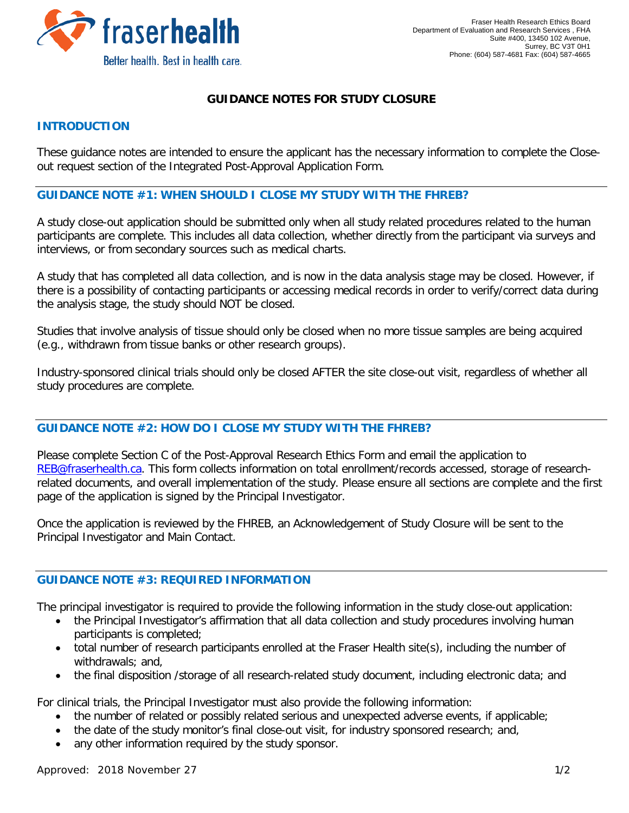

# **GUIDANCE NOTES FOR STUDY CLOSURE**

### **INTRODUCTION**

These guidance notes are intended to ensure the applicant has the necessary information to complete the Closeout request section of the Integrated Post-Approval Application Form.

#### **GUIDANCE NOTE #1: WHEN SHOULD I CLOSE MY STUDY WITH THE FHREB?**

A study close-out application should be submitted only when all study related procedures related to the human participants are complete. This includes all data collection, whether directly from the participant via surveys and interviews, or from secondary sources such as medical charts.

A study that has completed all data collection, and is now in the data analysis stage may be closed. However, if there is a possibility of contacting participants or accessing medical records in order to verify/correct data during the analysis stage, the study should NOT be closed.

Studies that involve analysis of tissue should only be closed when no more tissue samples are being acquired (e.g., withdrawn from tissue banks or other research groups).

Industry-sponsored clinical trials should only be closed AFTER the site close-out visit, regardless of whether all study procedures are complete.

### **GUIDANCE NOTE #2: HOW DO I CLOSE MY STUDY WITH THE FHREB?**

Please complete Section C of the Post-Approval Research Ethics Form and email the application to [REB@fraserhealth.ca.](mailto:REB@fraserhealth.ca) This form collects information on total enrollment/records accessed, storage of researchrelated documents, and overall implementation of the study. Please ensure all sections are complete and the first page of the application is signed by the Principal Investigator.

Once the application is reviewed by the FHREB, an Acknowledgement of Study Closure will be sent to the Principal Investigator and Main Contact.

### **GUIDANCE NOTE #3: REQUIRED INFORMATION**

The principal investigator is required to provide the following information in the study close-out application:

- the Principal Investigator's affirmation that all data collection and study procedures involving human participants is completed;
- total number of research participants enrolled at the Fraser Health site(s), including the number of withdrawals; and,
- the final disposition /storage of all research-related study document, including electronic data; and

For clinical trials, the Principal Investigator must also provide the following information:

- the number of related or possibly related serious and unexpected adverse events, if applicable;
- the date of the study monitor's final close-out visit, for industry sponsored research; and,
- any other information required by the study sponsor.